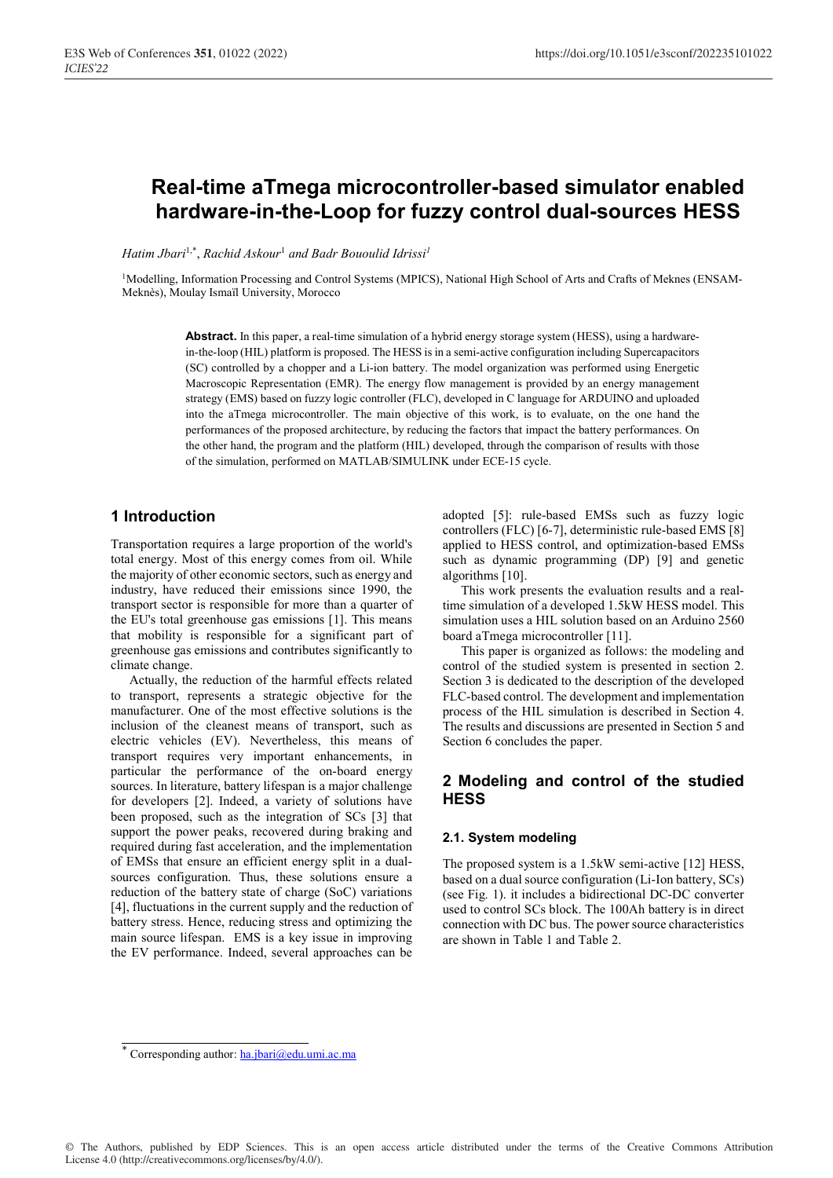# **Real-time aTmega microcontroller-based simulator enabled hardware-in-the-Loop for fuzzy control dual-sources HESS**

*Hatim Jbari*1,\*, *Rachid Askour*<sup>1</sup>  *and Badr Bououlid Idrissi1*

<sup>1</sup>Modelling, Information Processing and Control Systems (MPICS), National High School of Arts and Crafts of Meknes (ENSAM-Meknès), Moulay Ismaïl University, Morocco

> **Abstract.** In this paper, a real-time simulation of a hybrid energy storage system (HESS), using a hardwarein-the-loop (HIL) platform is proposed. The HESS is in a semi-active configuration including Supercapacitors (SC) controlled by a chopper and a Li-ion battery. The model organization was performed using Energetic Macroscopic Representation (EMR). The energy flow management is provided by an energy management strategy (EMS) based on fuzzy logic controller (FLC), developed in C language for ARDUINO and uploaded into the aTmega microcontroller. The main objective of this work, is to evaluate, on the one hand the performances of the proposed architecture, by reducing the factors that impact the battery performances. On the other hand, the program and the platform (HIL) developed, through the comparison of results with those of the simulation, performed on MATLAB/SIMULINK under ECE-15 cycle.

### **1 Introduction**

Transportation requires a large proportion of the world's total energy. Most of this energy comes from oil. While the majority of other economic sectors, such as energy and industry, have reduced their emissions since 1990, the transport sector is responsible for more than a quarter of the EU's total greenhouse gas emissions [1]. This means that mobility is responsible for a significant part of greenhouse gas emissions and contributes significantly to climate change.

Actually, the reduction of the harmful effects related to transport, represents a strategic objective for the manufacturer. One of the most effective solutions is the inclusion of the cleanest means of transport, such as electric vehicles (EV). Nevertheless, this means of transport requires very important enhancements, in particular the performance of the on-board energy sources. In literature, battery lifespan is a major challenge for developers [2]. Indeed, a variety of solutions have been proposed, such as the integration of SCs [3] that support the power peaks, recovered during braking and required during fast acceleration, and the implementation of EMSs that ensure an efficient energy split in a dualsources configuration. Thus, these solutions ensure a reduction of the battery state of charge (SoC) variations [4], fluctuations in the current supply and the reduction of battery stress. Hence, reducing stress and optimizing the main source lifespan. EMS is a key issue in improving the EV performance. Indeed, several approaches can be

adopted [5]: rule-based EMSs such as fuzzy logic controllers (FLC) [6-7], deterministic rule-based EMS [8] applied to HESS control, and optimization-based EMSs such as dynamic programming (DP) [9] and genetic algorithms [10].

This work presents the evaluation results and a realtime simulation of a developed 1.5kW HESS model. This simulation uses a HIL solution based on an Arduino 2560 board aTmega microcontroller [11].

This paper is organized as follows: the modeling and control of the studied system is presented in section 2. Section 3 is dedicated to the description of the developed FLC-based control. The development and implementation process of the HIL simulation is described in Section 4. The results and discussions are presented in Section 5 and Section 6 concludes the paper.

### **2 Modeling and control of the studied HESS**

#### **2.1. System modeling**

The proposed system is a 1.5kW semi-active [12] HESS, based on a dual source configuration (Li-Ion battery, SCs) (see Fig. 1). it includes a bidirectional DC-DC converter used to control SCs block. The 100Ah battery is in direct connection with DC bus. The power source characteristics are shown in Table 1 and Table 2.

<sup>\*</sup> Corresponding author: ha.jbari@edu.umi.ac.ma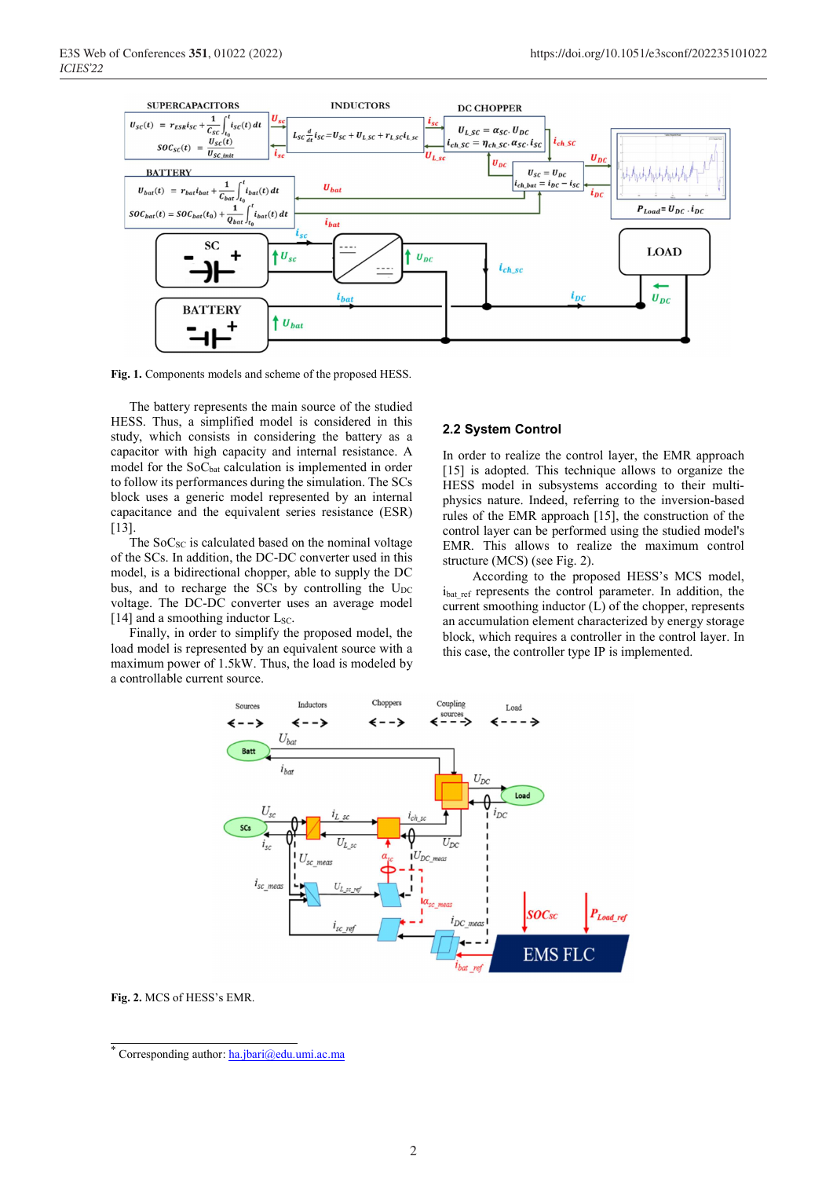

**Fig. 1.** Components models and scheme of the proposed HESS.

The battery represents the main source of the studied HESS. Thus, a simplified model is considered in this study, which consists in considering the battery as a capacitor with high capacity and internal resistance. A model for the SoC<sub>bat</sub> calculation is implemented in order to follow its performances during the simulation. The SCs block uses a generic model represented by an internal capacitance and the equivalent series resistance (ESR) [13].

The  $SoC_{SC}$  is calculated based on the nominal voltage of the SCs. In addition, the DC-DC converter used in this model, is a bidirectional chopper, able to supply the DC bus, and to recharge the SCs by controlling the  $U_{DC}$ voltage. The DC-DC converter uses an average model [14] and a smoothing inductor  $L_{SC}$ .

Finally, in order to simplify the proposed model, the load model is represented by an equivalent source with a maximum power of 1.5kW. Thus, the load is modeled by a controllable current source.

#### **2.2 System Control**

In order to realize the control layer, the EMR approach [15] is adopted. This technique allows to organize the HESS model in subsystems according to their multiphysics nature. Indeed, referring to the inversion-based rules of the EMR approach [15], the construction of the control layer can be performed using the studied model's EMR. This allows to realize the maximum control structure (MCS) (see Fig. 2).

According to the proposed HESS's MCS model, ibat ref represents the control parameter. In addition, the current smoothing inductor  $(L)$  of the chopper, represents an accumulation element characterized by energy storage block, which requires a controller in the control layer. In this case, the controller type IP is implemented.



**Fig. 2.** MCS of HESS's EMR.

<sup>\*</sup> Corresponding author: ha.jbari@edu.umi.ac.ma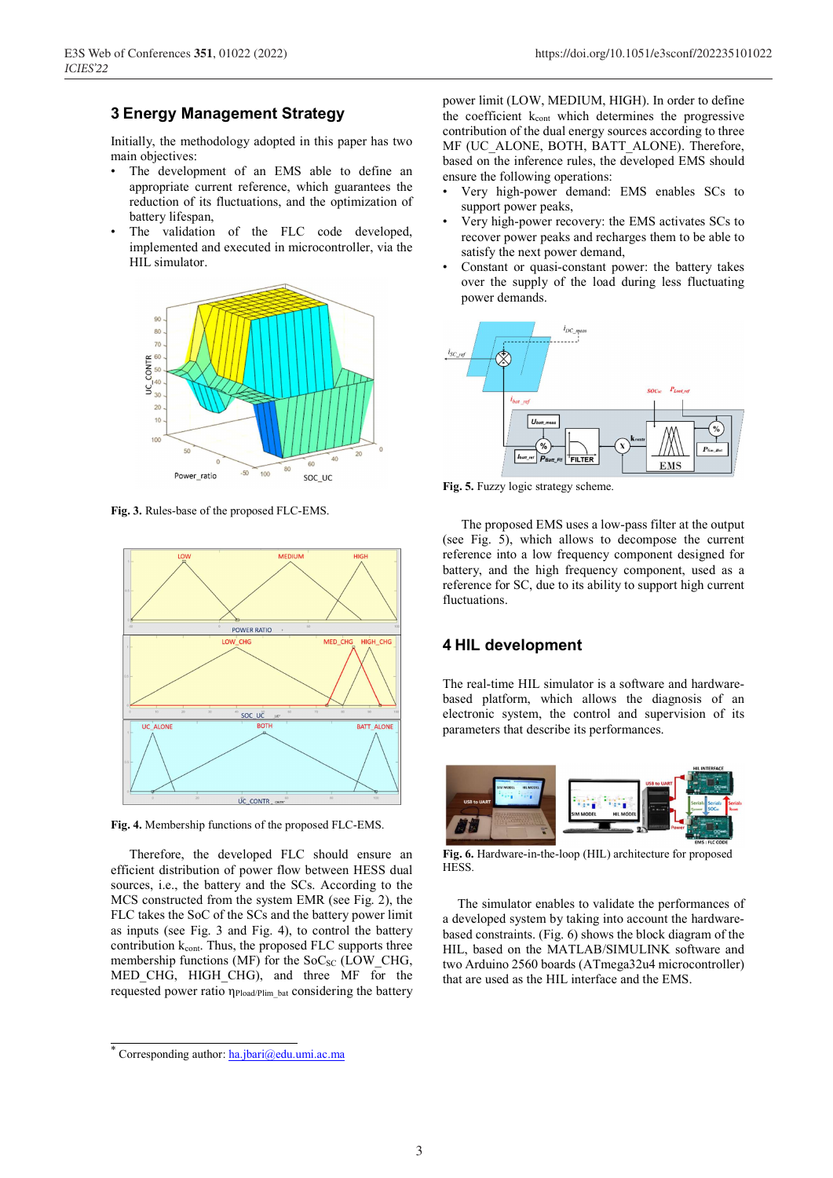# **3 Energy Management Strategy**

Initially, the methodology adopted in this paper has two main objectives:

- The development of an EMS able to define an appropriate current reference, which guarantees the reduction of its fluctuations, and the optimization of battery lifespan,
- The validation of the FLC code developed, implemented and executed in microcontroller, via the HIL simulator.



**Fig. 3.** Rules-base of the proposed FLC-EMS.



**Fig. 4.** Membership functions of the proposed FLC-EMS.

Therefore, the developed FLC should ensure an efficient distribution of power flow between HESS dual sources, i.e., the battery and the SCs. According to the MCS constructed from the system EMR (see Fig. 2), the FLC takes the SoC of the SCs and the battery power limit as inputs (see Fig. 3 and Fig. 4), to control the battery contribution  $k_{\text{cont}}$ . Thus, the proposed FLC supports three membership functions (MF) for the  $SoC<sub>SC</sub>$  (LOW CHG, MED CHG, HIGH CHG), and three MF for the requested power ratio η<sub>Pload/Plim bat</sub> considering the battery power limit (LOW, MEDIUM, HIGH). In order to define the coefficient k<sub>cont</sub> which determines the progressive contribution of the dual energy sources according to three MF (UC\_ALONE, BOTH, BATT\_ALONE). Therefore, based on the inference rules, the developed EMS should ensure the following operations:

- Very high-power demand: EMS enables SCs to support power peaks,
- Very high-power recovery: the EMS activates SCs to recover power peaks and recharges them to be able to satisfy the next power demand,
- Constant or quasi-constant power: the battery takes over the supply of the load during less fluctuating power demands.



**Fig. 5.** Fuzzy logic strategy scheme.

The proposed EMS uses a low-pass filter at the output (see Fig. 5), which allows to decompose the current reference into a low frequency component designed for battery, and the high frequency component, used as a reference for SC, due to its ability to support high current fluctuations.

#### **4 HIL development**

The real-time HIL simulator is a software and hardwarebased platform, which allows the diagnosis of an electronic system, the control and supervision of its parameters that describe its performances.



**Fig. 6.** Hardware-in-the-loop (HIL) architecture for proposed HESS.

The simulator enables to validate the performances of a developed system by taking into account the hardwarebased constraints. (Fig. 6) shows the block diagram of the HIL, based on the MATLAB/SIMULINK software and two Arduino 2560 boards (ATmega32u4 microcontroller) that are used as the HIL interface and the EMS.

<sup>\*</sup> Corresponding author: ha.jbari@edu.umi.ac.ma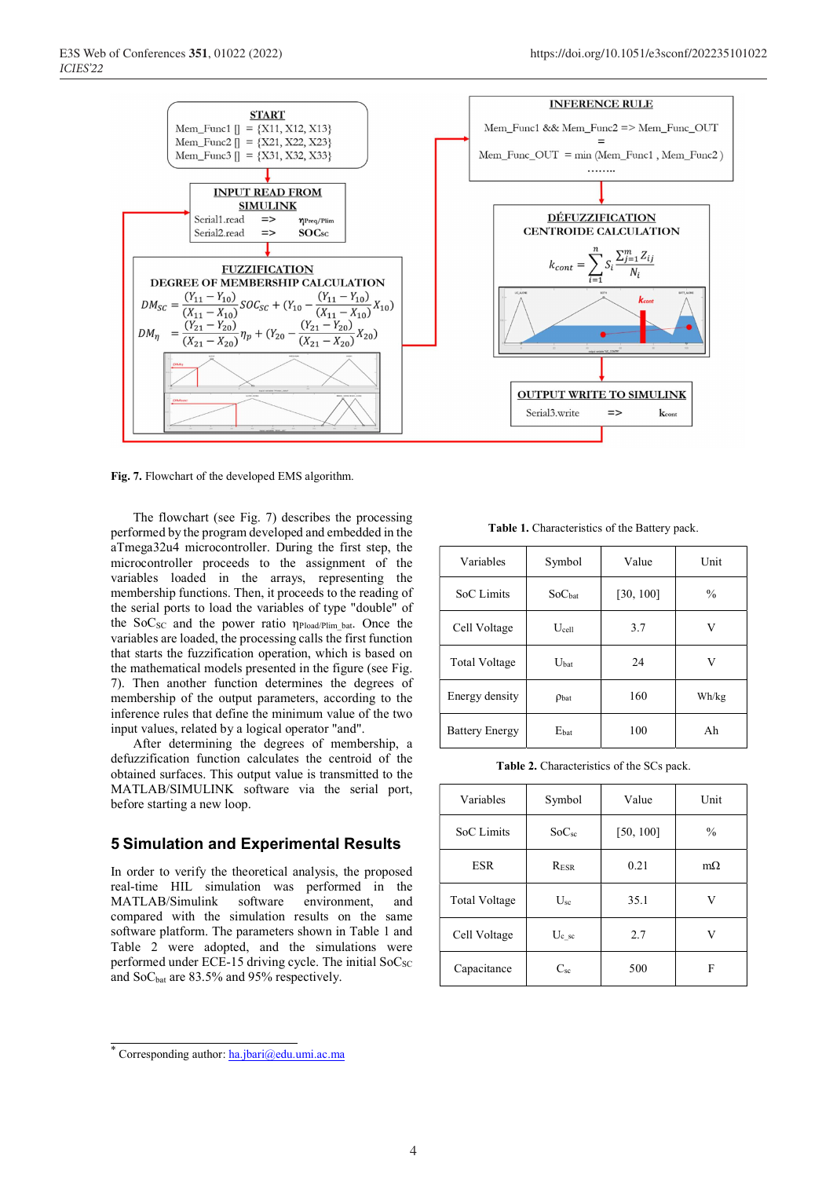

**Fig. 7.** Flowchart of the developed EMS algorithm.

 The flowchart (see Fig. 7) describes the processing performed by the program developed and embedded in the aTmega32u4 microcontroller. During the first step, the microcontroller proceeds to the assignment of the variables loaded in the arrays, representing the membership functions. Then, it proceeds to the reading of the serial ports to load the variables of type "double" of the  $SoC_{SC}$  and the power ratio  $\eta_{Pload/Plim-bat}$ . Once the variables are loaded, the processing calls the first function that starts the fuzzification operation, which is based on the mathematical models presented in the figure (see Fig. 7). Then another function determines the degrees of membership of the output parameters, according to the inference rules that define the minimum value of the two

input values, related by a logical operator "and". After determining the degrees of membership, a defuzzification function calculates the centroid of the obtained surfaces. This output value is transmitted to the MATLAB/SIMULINK software via the serial port, before starting a new loop.

### **5 Simulation and Experimental Results**

In order to verify the theoretical analysis, the proposed real-time HIL simulation was performed in the MATLAB/Simulink software environment, and compared with the simulation results on the same software platform. The parameters shown in Table 1 and Table 2 were adopted, and the simulations were performed under ECE-15 driving cycle. The initial  $SoC_{SC}$ and  $SoC<sub>bat</sub>$  are 83.5% and 95% respectively.

**Table 1.** Characteristics of the Battery pack.

| Variables             | Symbol           | Value     | Unit          |
|-----------------------|------------------|-----------|---------------|
| SoC Limits            | SoChat           | [30, 100] | $\frac{0}{0}$ |
| Cell Voltage          | $U_{cell}$       | 3.7       | V             |
| <b>Total Voltage</b>  | U <sub>hat</sub> | 24        | V             |
| Energy density        | Pbat             | 160       | Wh/kg         |
| <b>Battery Energy</b> | Ebat             | 100       | Ah            |

**Table 2.** Characteristics of the SCs pack.

| Variables            | Symbol            | Value     | Unit          |
|----------------------|-------------------|-----------|---------------|
| SoC Limits           | SoC <sub>sc</sub> | [50, 100] | $\frac{0}{0}$ |
| <b>ESR</b>           | RESR              | 0.21      | $m\Omega$     |
| <b>Total Voltage</b> | $U_{sc}$          | 35.1      | V             |
| Cell Voltage         | $U_{c}$ sc        | 2.7       | V             |
| Capacitance          | $C_{sc}$          | 500       | F             |

<sup>\*</sup> Corresponding author: ha.jbari@edu.umi.ac.ma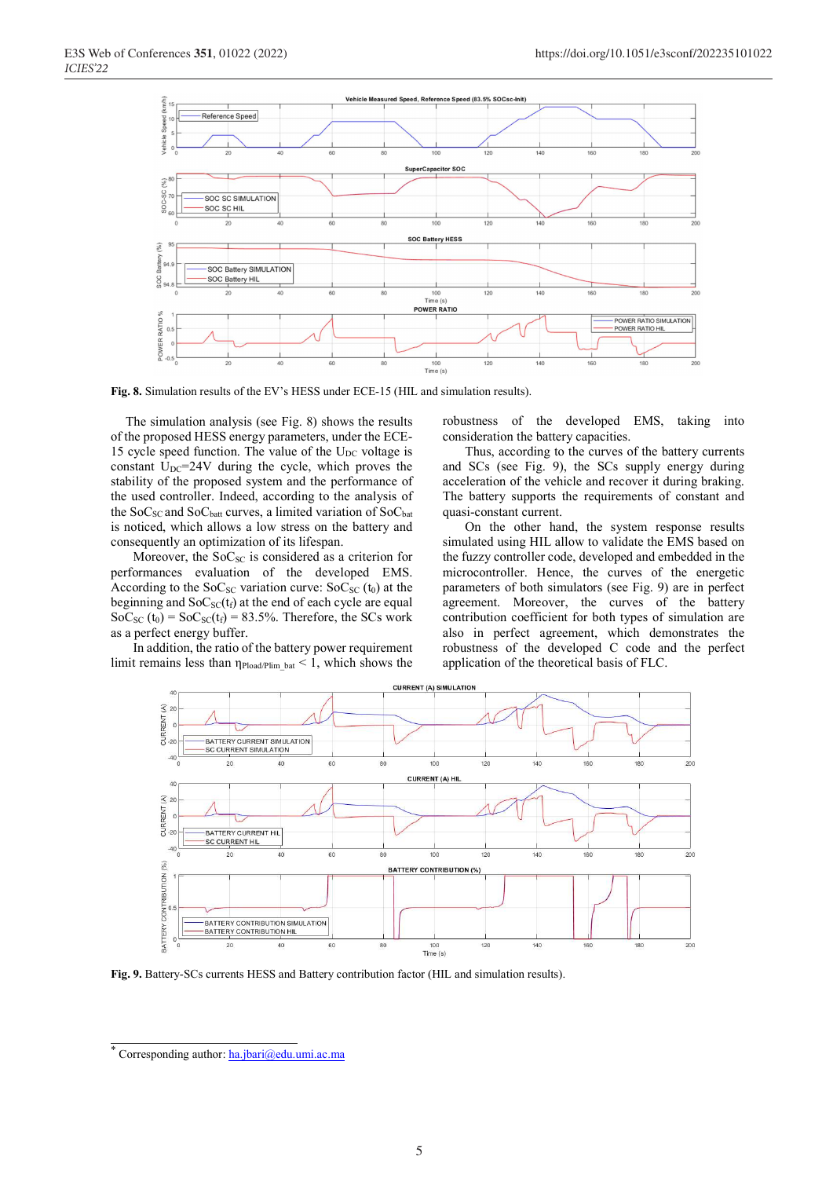

**Fig. 8.** Simulation results of the EV's HESS under ECE-15 (HIL and simulation results).

The simulation analysis (see Fig. 8) shows the results of the proposed HESS energy parameters, under the ECE-15 cycle speed function. The value of the  $U_{DC}$  voltage is constant  $U_{DC}$ =24V during the cycle, which proves the stability of the proposed system and the performance of the used controller. Indeed, according to the analysis of the SoC<sub>SC</sub> and SoC<sub>batt</sub> curves, a limited variation of SoC<sub>bat</sub> is noticed, which allows a low stress on the battery and consequently an optimization of its lifespan.

Moreover, the  $SoC_{SC}$  is considered as a criterion for performances evaluation of the developed EMS. According to the SoC<sub>SC</sub> variation curve:  $SoC_{SC}$  (t<sub>0</sub>) at the beginning and  $SoC_{SC}(t_f)$  at the end of each cycle are equal  $SoC_{SC}(t_0) = SoC_{SC}(t_f) = 83.5\%$ . Therefore, the SCs work as a perfect energy buffer.

 In addition, the ratio of the battery power requirement limit remains less than  $\eta_{\text{Pload/Plim}}$  bat  $\leq 1$ , which shows the robustness of the developed EMS, taking into consideration the battery capacities.

 Thus, according to the curves of the battery currents and SCs (see Fig. 9), the SCs supply energy during acceleration of the vehicle and recover it during braking. The battery supports the requirements of constant and quasi-constant current.

On the other hand, the system response results simulated using HIL allow to validate the EMS based on the fuzzy controller code, developed and embedded in the microcontroller. Hence, the curves of the energetic parameters of both simulators (see Fig. 9) are in perfect agreement. Moreover, the curves of the battery contribution coefficient for both types of simulation are also in perfect agreement, which demonstrates the robustness of the developed C code and the perfect application of the theoretical basis of FLC.



**Fig. 9.** Battery-SCs currents HESS and Battery contribution factor (HIL and simulation results).

<sup>\*</sup> Corresponding author: ha.jbari@edu.umi.ac.ma